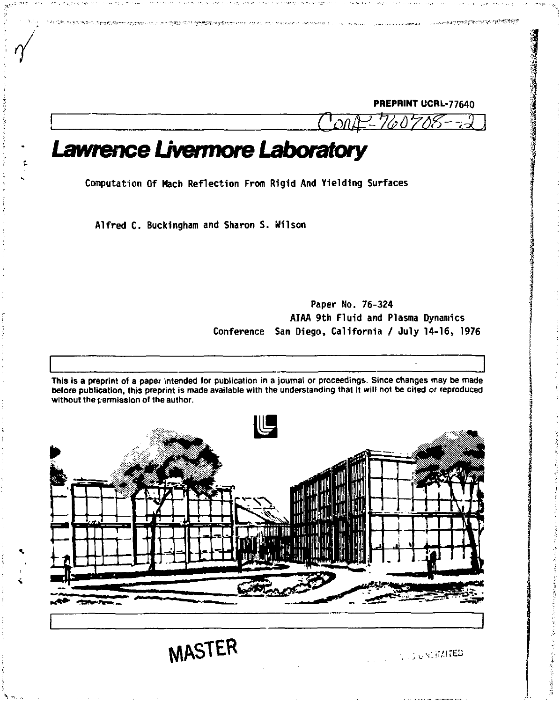**PREPRINT UCRL-77640** 

menderstørstøre av elder

*Lawrence Livermore Laboratory* 

**Computation Of Hach Reflection From Rigid And Yielding Surfaces** 

Alfred C. Buckingham and Sharon S. Wilson **Alfred C. Buckingham and Sharon S. Wilson** 

CONTRACT AND RESIDING COMPANY RESIDING TO ALL CONTRACTS

# **Paper No. 76-324 AIAA 9th Fluid and Plasma Dynamics Conference San Diego, California / July 14-16, 1976**

**This is a preprint of a paper intended for publication in a journal or proceedings. Since changes may be made before publication, this preprint is made available with the understanding that it will not be cited or reproduced without the permission ol the author.** 



**MASTER internal values** 

**Concept Report Forms**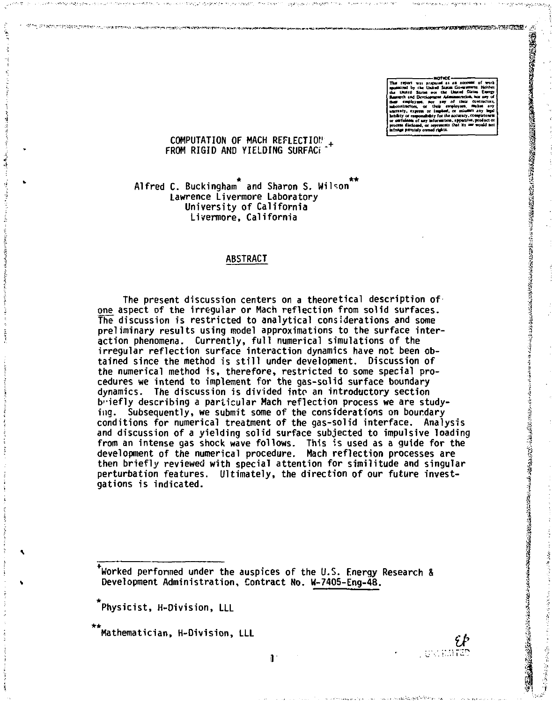1.45~2012月28日,1997年12月23日,1999年12月12日,1999年12月23日,1999年12月20日,1999年12月12日,1999年12月22日,1999年12月12日,1999年12月12日,

#### COMPUTATION OF MACH REFLECTION FROM RIGID AND YIELDING SURFACE

Alfred C. Buckingham and Sharon S. Wilson Jawrence Livermore Laboratory University of California Livermore. California

#### **ABSTRACT**

The present discussion centers on a theoretical description of one aspect of the irregular or Mach reflection from solid surfaces. The discussion is restricted to analytical considerations and some preliminary results using model approximations to the surface interaction phenomena. Currently, full numerical simulations of the irreqular reflection surface interaction dynamics have not been obtained since the method is still under development. Discussion of the numerical method is, therefore, restricted to some special procedures we intend to implement for the gas-solid surface boundary dynamics. The discussion is divided into an introductory section b iefly describing a particular Mach reflection process we are studying. Subsequently, we submit some of the considerations on bourdary conditions for numerical treatment of the gas-solid interface. Analysis and discussion of a vielding solid surface subjected to impulsive loading from an intense gas shock wave follows. This is used as a quide for the development of the numerical procedure. Mach reflection processes are then briefly reviewed with special attention for similitude and singular perturbation features. Ultimately, the direction of our future investgations is indicated.

Worked performed under the auspices of the U.S. Energy Research & Development Administration, Contract No. W-7405-Eng-48.

Physicist, H-Division, LLL

Mathematician, H-Division, LLL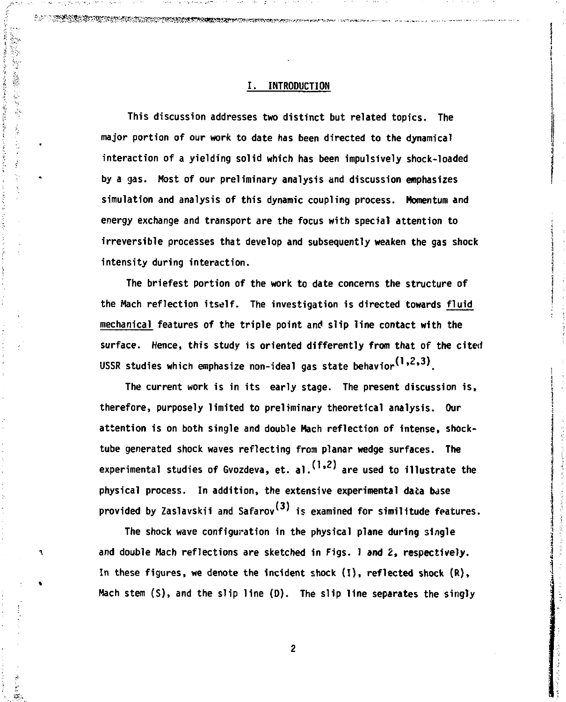# **I • INTRODUCTION**

**•»#.\* v^'lJPtO" \*<sup>r</sup>**  *"S* **T~. -^><sup>T</sup>"."-^»«^«KtM;«v.^jRw>!'nT.** 

ł

**Company of the Company of the Company of the Company of the Company of the Company of the Company of the Company of the Company of the Company of the Company of the Company of the Company of the Company of the Company of** 

٦

žй.

**This discussion addresses two distinct but related topics. The major portion of our work to date has been directed to the dynamical interaction of a yielding solid which has been impulsively shock-loaded by a gas. Host of our preliminary analysis and discussion emphasizes simulation and analysis of this dynamic coupling process. Momentum and energy exchange and transport are the focus with special attention to irreversible processes that develop and subsequently weaken the gas shock intensity during interaction.** 

**The briefest portion of the work to date concerns the structure of the Hach reflection itself. The investigation is directed towards fluid mechanical features of the triple point and slip line contact with the surface. Hence, this study is oriented differently from that of the cited**  USSR studies which emphasize non-ideal gas state behavior<sup>(1,2,3)</sup>.

**The current work is in its early stage. The present discussion is, therefore, purposely limited to preliminary theoretical analysis. Our attention is on both single and double Hach reflection of intense, shocktube generated shock waves reflecting from planar wedge surfaces. The**  (1 *2)* **experimental studies of Gvozdeva, et. al.<sup>v</sup> ' are used to illustrate the physical process. In addition, the extensive experimental data base**  provided by Zaslavskii and Safarov<sup>(3)</sup> is examined for similitude features.

**The shock wave configuration in the physical plane during single and double Mach reflections are sketched in Figs. 1 and** *Z,* **respectively. In these figures, we denote the incident shock (I), reflected shock (R), Hach stem (S), and the slip line (D). The slip line separates the singly** 

 $\overline{c}$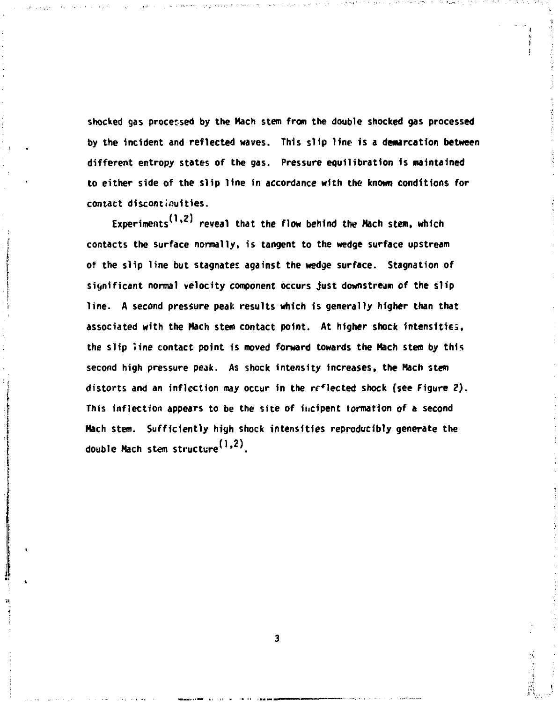**shocked gas processed by the Mach stem from the double shocked gas processed by the incident and reflected waves. This slip line is a demarcation between different entropy states of the gas. Pressure equilibration Is maintained to either side of the slip line in accordance with the known conditions for contact discontinuities.** 

Experiments<sup>(1,2)</sup> reveal that the flow behind the Mach stem, which **contacts the surface normally, is tangent to the wedge surface upstream of the slip line but stagnates against the wedge surface. Stagnation of significant normal velocity component occurs just downstream of the slip line. A second pressure peak results which is generally higher than that associated with the Mach stem contact point. At higher shock intensities, the slip line contact point is moved forward towards the Mach stem by this second high pressure peak. As shock intensity increases, the Mach stem**  distorts and an inflection may occur in the reflected shock (see Figure 2). This inflection appears to be the site of incipent formation of a second **Mach stem. Sufficiently high shock intensities reproducibly generate the**  double Mach stem structure<sup>(1,2)</sup>.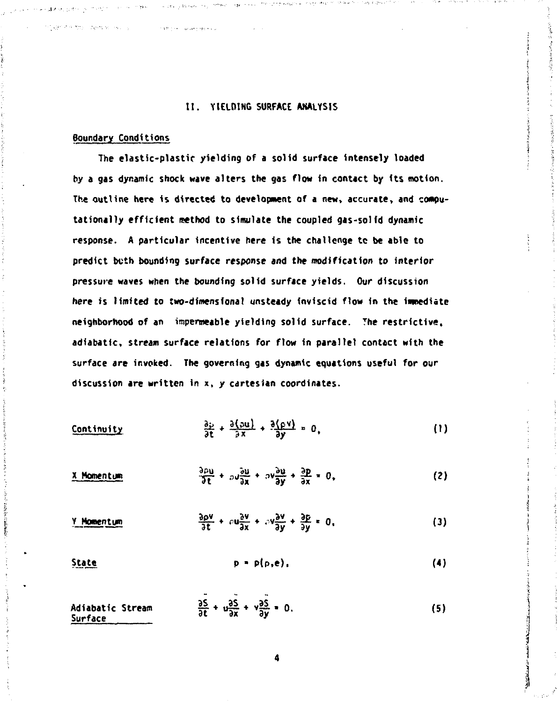# II. YIELDING SURFACE ANALYSIS

#### **Boundary Conditions**

おけない 風景

and the state of the company of the state of the state of the state of the state of the state of the state of the state of the state of the state of the state of the state of the state of the state of the state of the stat

The elastic-plastic vielding of a solid surface intensely loaded by a gas dynamic shock wave alters the gas flow in contact by its motion. The outline here is directed to development of a new, accurate, and computationally efficient method to simulate the coupled gas-solid dynamic response. A particular incentive here is the challenge to be able to predict beth bounding surface response and the modification to interior pressure waves when the bounding solid surface yields. Our discussion here is limited to two-dimensional unsteady inviscid flow in the immediate neighborhood of an impermeable yielding solid surface. The restrictive, adiabatic, stream surface relations for flow in parallel contact with the surface are invoked. The governing gas dynamic equations useful for our discussion are written in x, y cartesian coordinates.

- $\frac{\partial \phi}{\partial t} + \frac{\partial (\partial u)}{\partial x} + \frac{\partial (\rho v)}{\partial y} = 0,$ Continuity  $(1)$
- $\frac{3\rho u}{3\rho}$  +  $\frac{3u}{2}$  +  $\frac{3v}{2}$  +  $\frac{3v}{2}$  +  $\frac{3p}{2}$  = 0,  $(2)$ X Momentum
- $\frac{\partial \rho v}{\partial t} + \rho u \frac{\partial v}{\partial x} + \rho v \frac{\partial v}{\partial y} + \frac{\partial \rho}{\partial y} = 0.$ Y Momentum  $(3)$
- $p = p(p,e)$ . **State**  $(4)$
- $\frac{35}{36} + \frac{95}{9x} + \frac{95}{9y} = 0.$ Adiabatic Stream  $(5)$ Surface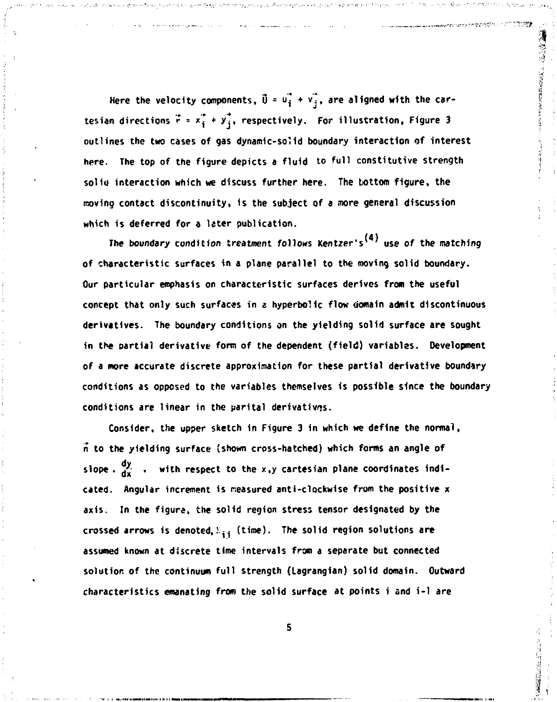Here the velocity components,  $\vec{U} = \vec{u}_i + \vec{v}_j$ , are aligned with the cartesian directions  $\vec{r} = x_1^* + y_3^*$ , respectively. For illustration, Figure 3 **outlines the two cases of gas dynamic-solid boundary interaction of interest here. The top of the figure depicts a fluid to full constitutive strength solid interaction which we discuss further here. The bottom figure, the moving contact discontinuity, 1s the subject of a more general discussion which is deferred for a later publication.** 

The boundary condition treatment follows Kentzer's<sup>(4)</sup> use of the matching **of characteristic surfaces in a plane parallel to the moving solid boundary. Our particular emphasis on characteristic surfaces derives from the useful concept that only such surfaces in a hyperbolic flow domain admit discontinuous derivatives. The boundary conditions on the yielding solid surface are sought in the partial derivative form of the dependent (field) variables. Development of a more accurate discrete approximation for these partial derivative boundary conditions as opposed to the variables themselves is possible since the boundary conditions are linear in the parital derivatives.** 

**Consider, the upper sketch in Figure 3 in which we define the normal, n to the yielding surface (shown cross-hatched) which forms an angle of**  slope.  $\frac{dy}{dx}$ . with respect to the x,y cartesian plane coordinates indi**cated. Angular increment is rceasured anti-clockwise from the positive x axis. In the figure, the solid region stress tensor designated by the**  crossed arrows is denoted,  $\Sigma_{\pm\frac{1}{2}}$  (time). The solid region solutions are **assumed known at discrete time intervals from a separate but connected solution of the continuum full strength (Lagrangian) solid domain. Outward characteristics emanating from the solid surface at points i and i-1 are**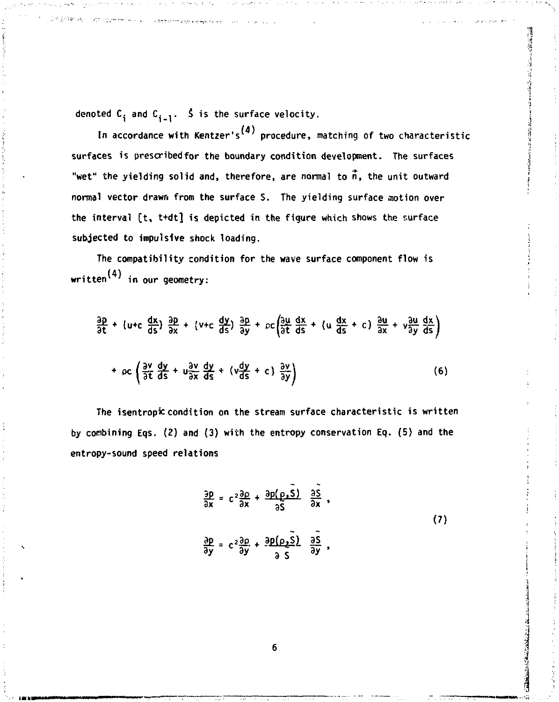denoted  $C_i$  and  $C_{i-1}$ .  $\zeta$  is the surface velocity.

In accordance with Kentzer's<sup>(4)</sup> procedure, matching of two characteristic **surfaces is prescribed for the boundary condition development. The surfaces**  "wet" the yielding solid and, therefore, are normal to  $\vec{n}$ , the unit outward **normal vector drawn from the surface S. The yielding surface motion over the interval [t, t+dt] is depicted in the figure which shows the surface subjected to impulsive shock loading.** 

**The compatibility condition for the wave surface component flow is (4) written<sup>1</sup> in our geometry:** 

$$
\frac{22}{35} + (u+c \frac{4x}{35}) \frac{3p}{3x} + (v+c \frac{4x}{35}) \frac{2p}{3y} + pc \left(\frac{3p}{35} \frac{4x}{35} + (u \frac{4x}{35} + c) \frac{2u}{3x} + v \frac{2u}{35} \frac{dx}{35}\right)
$$
\n
$$
+ oc \left(\frac{3p}{35} \frac{d}{35} + u \frac{3p}{35} \frac{d}{35} + (v \frac{4y}{35} + c) \frac{3y}{3y}\right)
$$
\n(6)

**The isentropiccondition on the stream surface characteristic is written by combining Eqs. (2) and (3) with the entropy conservation Eq. (5) and the entropy-sound speed relations** 

$$
\frac{\partial p}{\partial x} = c^2 \frac{\partial \rho}{\partial x} + \frac{\partial p(\rho, \bar{S})}{\partial \bar{S}} \frac{\partial \bar{S}}{\partial x},
$$
  
(7)  

$$
\frac{\partial p}{\partial y} = c^2 \frac{\partial \rho}{\partial y} + \frac{\partial p(\rho, \bar{S})}{\partial \bar{S}} \frac{\partial \bar{S}}{\partial y},
$$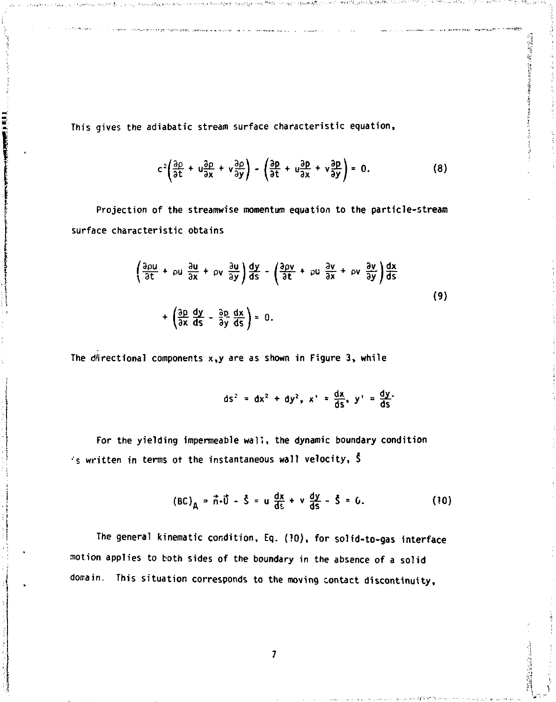**This gives the adiabatic stream surface characteristic equation,** 

a terminal entidate range inspringato, are reasonable as the case of the measure was as

$$
c^2\left(\frac{\partial \rho}{\partial t} + u\frac{\partial \rho}{\partial x} + v\frac{\partial \rho}{\partial y}\right) - \left(\frac{\partial \rho}{\partial t} + u\frac{\partial \rho}{\partial x} + v\frac{\partial \rho}{\partial y}\right) = 0.
$$
 (8)

**Projection of the streamwise momentum equation to the particle-stream surface characteristic obtains** 

$$
\left(\frac{3pt}{9t} + \rho u \frac{3u}{9x} + \rho v \frac{3u}{9y}\right) \frac{dx}{ds} - \left(\frac{3pt}{9t} + \rho u \frac{3v}{9x} + \rho v \frac{3v}{9y}\right) \frac{dx}{ds}
$$
\n(9)

The directional components  $x,y$  are as shown in Figure 3, while

$$
ds^2 = dx^2 + dy^2
$$
,  $x' = \frac{dx}{ds}$ ,  $y' = \frac{dy}{ds}$ 

**For the yielding impermeable wall, the dynamic boundary condition 's written in terms ot the instantaneous wall velocity, §** 

$$
(BC)_{A} = \vec{n} \cdot \vec{U} - \vec{S} = u \frac{dx}{ds} + v \frac{dy}{ds} - \vec{S} = 0.
$$
 (10)

**The general kinematic condition, Eq. (10), for solid-to-gas interface motion applies to both sides of the boundary in the absence of a solid doirain. This situation corresponds to the moving contact discontinuity.**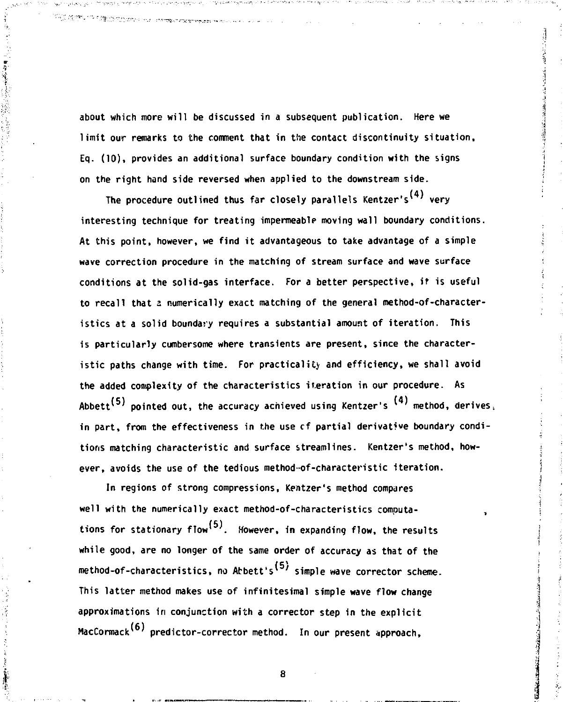**about which more will be discussed in a subsequent publication. Here we limit our remarks to the comment that in the contact discontinuity situation, Eq. (10), provides an additional surface boundary condition with the signs on the right hand side reversed when applied to the downstream side.** 

.<br>Profitable de característica est al profitable de la característica de la característica de la característica

The procedure outlined thus far closely parallels Kentzer's<sup>(4)</sup> very **interesting technique for treating impermeablp moving wall boundary conditions. At this point, however, we find it advantageous to take advantage of a simple wave correction procedure in the matching of stream surface and wave surface conditions at the solid-gas interface. For a better perspective, if is useful**  to recall that a numerically exact matching of the general method-of-character**istics at a solid boundary requires a substantial amount of iteration. This is particularly cumbersome where transients are present, since the characteristic paths change with time. For practicality and efficiency, we shall avoid the added complexity of the characteristics iteration in our procedure. As**  Abbett<sup>(5)</sup> pointed out, the accuracy achieved using Kentzer's <sup>(4)</sup> method, derives, **in part, from the effectiveness in the use cf partial derivative boundary conditions matching characteristic and surface streamlines. Kentzer's method, however, avoids the use of the tedious method-of-characteristic iteration.** 

**In regions of strong compressions, Kentzer's method compares**  well with the numerically exact method-of-characteristics computa-**(5) tions for stationary flow<sup>1</sup> '. However, in expanding flow, the results while good, are no longer of the same order of accuracy as that of the**  method-of-characteristics, no Abbett's<sup>(5)</sup> simple wave corrector scheme. This latter method makes use of infinitesimal simple wave flow change approximations in conjunction with a corrector step in the explicit MacCormack<sup>(6)</sup> predictor-corrector method. In our present approach,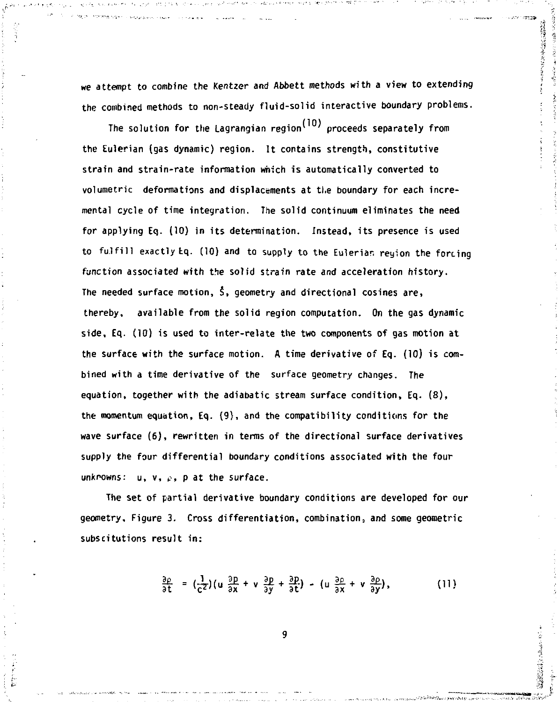**we attempt to combine the Kentzer and Abbett methods with a view to extending the combined methods to non-steady fluid-solid interactive boundary problems.** 

The solution for the Lagrangian region<sup>(10)</sup> proceeds separately from **the Eulerian (gas dynamic) region. It contains strength, constitutive strain and strain-rate information which is automatically converted to volumetric deformations and displacements at tl.e boundary for each incremental cycle of time integration. The solid continuum eliminates the need for applying Eq. (10) in its determination. Instead, its presence is used to fulfill exactly tq. (10) and to supply to the Euleriar, reyion the forcing function associated with the solid strain rate and acceleration history. The needed surface motion, 5, geometry and directional cosines are, thereby, available from the solid region computation. On the gas dynamic side, Eq. (10) is used to inter-relate the two components of gas motion at the surface with the surface motion. A time derivative of Eq. (10) is combined with a time derivative of the surface geometry changes. The equation, together with the adiabatic stream surface condition, Eq. (8), the momentum equation, Eq. (9), and the compatibility conditions for the wave surface (6), rewritten in terms of the directional surface derivatives supply the four differential boundary conditions associated with the four unknowns: u, v,** *?, p* **at the surface.** 

**The set of partial derivative boundary conditions are developed for our geometry. Figure 3. Cross differentiation, combination, and some geometric subscitutions result in:** 

$$
\frac{\partial \rho}{\partial t} = \left(\frac{1}{c^2}\right) \left(u \frac{\partial p}{\partial x} + v \frac{\partial p}{\partial y} + \frac{\partial p}{\partial t}\right) - \left(u \frac{\partial \rho}{\partial x} + v \frac{\partial \rho}{\partial y}\right), \tag{11}
$$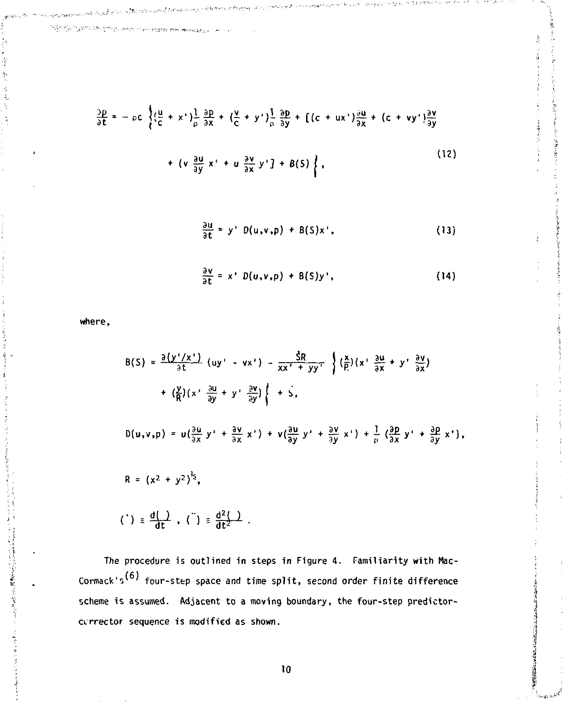.<br>בין הבין המשפחות המורד במקום הראשון הראשון לה

$$
\frac{\partial p}{\partial t} = -\rho c \left\{ (\frac{u}{c} + x') \frac{1}{\rho} \frac{\partial p}{\partial x} + (\frac{v}{c} + y') \frac{1}{\rho} \frac{\partial p}{\partial y} + [ (c + ux') \frac{\partial u}{\partial x} + (c + vy') \frac{\partial v}{\partial y} + (c + vy') \frac{\partial v}{\partial y} + (c + vy') \frac{\partial v}{\partial y} \right\}
$$
\n(12)

$$
\frac{\partial u}{\partial t} = y' D(u,v,p) + B(S)x', \qquad (13)
$$

$$
\frac{\partial v}{\partial t} = x' D(u,v,p) + B(S)y', \qquad (14)
$$

where,

Ï

$$
B(S) = \frac{\partial (y'/x')}{\partial t} (uy' - vx') - \frac{\hat{S}R}{xx' + yy'} \left\{ (\frac{x}{R})(x' \frac{\partial u}{\partial x} + y' \frac{\partial v}{\partial x}) + (\frac{x}{R})(x' \frac{\partial u}{\partial y} + y' \frac{\partial v}{\partial y}) \right\} + \hat{S},
$$
  

$$
= \left( \frac{y}{R} \right) (x' \frac{\partial u}{\partial y} + y' \frac{\partial v}{\partial y}) \left\{ + \hat{S},
$$
  

$$
D(u,v,p) = u(\frac{\partial u}{\partial x} y' + \frac{\partial v}{\partial x} x') + v(\frac{\partial u}{\partial y} y' + \frac{\partial v}{\partial y} x') + \frac{1}{\rho} (\frac{\partial p}{\partial x} y' + \frac{\partial p}{\partial y} x'),
$$
  

$$
R = (x^2 + y^2)^{\frac{1}{2}},
$$
  

$$
= \left( \frac{d}{dx} \right)^2, \quad \left( \frac{1}{x} \right)^{\frac{1}{2}} = \frac{d^2(1)}{dt^2}.
$$

The procedure is outlined in steps in Figure 4. Familiarity with Mac-Cormack's<sup>(6)</sup> four-step space and time split, second order finite difference scheme is assumed. Adjacent to a moving boundary, the four-step predfctorcurrector sequence is modified as shown.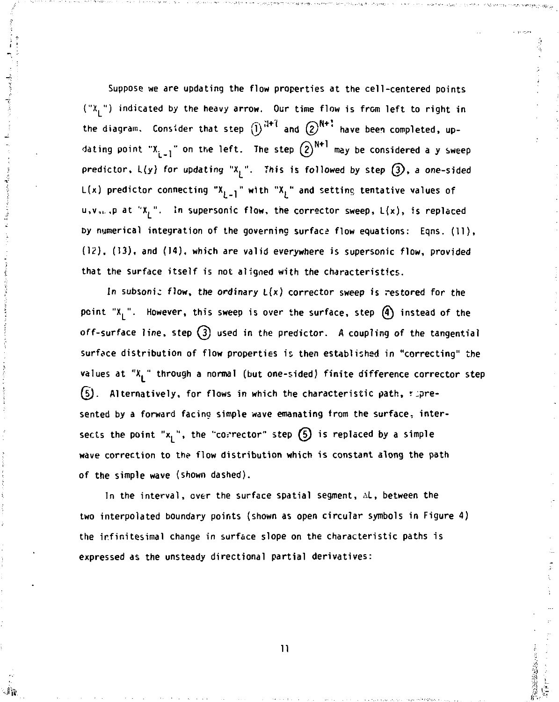**Suppose we are updating the flow properties at the cell-centered points ("X.") indicated by the heavy arrow. Our time flow is from left to right in**  the diagram. Consider that step  $\widehat{I}$ <sup> $N+1$ </sup> and  $\widehat{Q}$ <sup>N+1</sup> have been completed, updating point "X<sub>i-1</sub>" on the left. The step  $(2)^{N+1}$  may be considered a y sweep predictor,  $L(y)$  for updating " $X<sub>j</sub>$ ". This is followed by step  $(3)$ , a one-sided L(x) predictor connecting "X<sub>i-l</sub>" with "X<sub>i</sub>" and setting tentative values of **u,v,,. ,p at "X.". in supersonic flow, the corrector sweep, L(x), is replaced by numerical integration of the governing surface flow equations: Eqns. (11), (12), (13), and (14), which are valid everywhere is supersonic flow, provided that the surface itself is not aligned with the characteristics.** 

**In subsonic flow, the ordinary L(x) corrector sweep is restored for the point "X<sup>L</sup> ". However, this sweep is over the surface, step @ instead of the off-surface line, step** *\f )* **used in the predictor. A coupling of the tangential surface distribution of flow properties is then established in "correcting" the values at "X." through a normal (but one-sided) finite difference corrector step (5).** Alternatively, for flows in which the characteristic path, repre**sented by a forward facino simple wave emanating from the surface, inter**sects the point " $x_1$ ", the "corrector" step  $(5)$  is replaced by a simple **wave correction to the flow distribution which is constant along the path of the simple wave (shown dashed).** 

**In the interval, ever the surface spatial segment, AL , between the two interpolated boundary points (shown as open circular symbols in Figure 4) the ir.finitesimal change in surface slope on the characteristic paths is expressed as the unsteady directional partial derivatives:** 

**11** 

2010年5月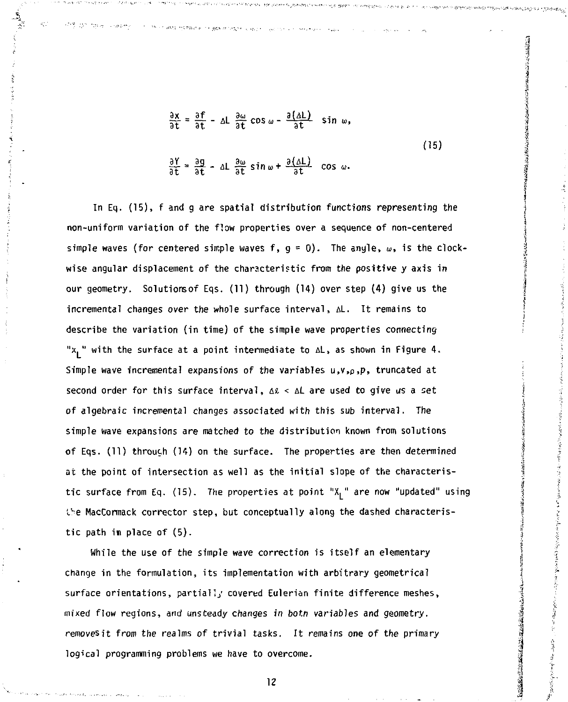$$
\frac{\partial x}{\partial t} = \frac{\partial f}{\partial t} - \Delta L \frac{\partial \omega}{\partial t} \cos \omega - \frac{\partial (\Delta L)}{\partial t} \sin \omega,
$$
  
(15)  

$$
\frac{\partial Y}{\partial t} = \frac{\partial g}{\partial t} - \Delta L \frac{\partial \omega}{\partial t} \sin \omega + \frac{\partial (\Delta L)}{\partial t} \cos \omega.
$$

**In Eq. (15), f and g are spatial distribution functions representing the non-uniform variation of the flow properties over a sequence of non-centered**  simple waves (for centered simple waves f,  $g = 0$ ). The anyle,  $\omega$ , is the clock**wise angular displacement of the characteristic from the positive y axis in our geometry. Solutionsof Eqs. (11) through (14) over step (4) give us the incremental changes over the whole surface interval, AL. It remains to describe the variation (in time) of the simple wave properties connecting**  "x<sub>1</sub>" with the surface at a point intermediate to  $\Delta L$ , as shown in Figure 4. **Simple wave incremental expansions of the variables u,v,p,p, truncated at**  second order for this surface interval,  $\Delta \ell < \Delta L$  are used to give us a set **of algebraic incremental changes associated with this sub interval. The simple wave expansions** *are* **matched to the distribution known from solutions of Eqs. (11) throuth (14) on the surface. The properties are then determined at the point of intersection as well as the initial slope of the characteristic surface from Eq. (15). The properties at point "X, " are now "updated" using**  *V~-e* **MacCormack corrector step, but conceptually along the dashed characteristic path in place of (5).** 

**While the use of the simple wave correction is itself an elementary change in the formulation, its implementation with arbitrary geometrical surface orientations, partially covered Eulerian finite difference meshes, mixed flow regions, and unsteady changes in botn variables and geometry, removesit from the realms of trivial tasks. It remains one of the primary logical programming problems we have to overcome.**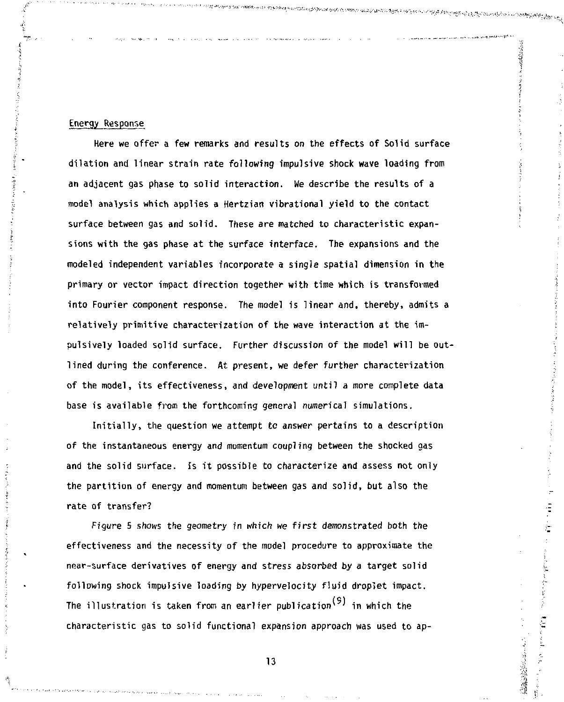## Energy Response

Here we offer a few remarks and results on the effects of Solid surface dilation and linear strain rate following impulsive **shock wave** loading from an adjacent gas phase to solid interaction. We describe the results of a model analysis which applies a Hertzian vibrational yield to the contact surface between gas and solid. These *are* matched to characteristic expansions with the gas phase at the surface interface. The expansions and the modeled independent variables incorporate a single spatial dimension in the primary or vector impact direction together with time which is transformed into Fourier component response. The model is linear and, thereby, admits a relatively primitive characterization of the wave interaction at the impulsively loaded solid surface. Further discussion of the model will be outlined during the conference. At present, we defer further characterization of the model, its effectiveness, and development until a more complete data base is available from the forthcoming general numerical simulations.

والمستوفية المستقالية المتواطنين المستقالية المستقالية المستقلة المستقلة المتواطنة المستقلة المستقلة المستقلة المستق

ことの にんかん (情報)

Initially, the question we attempt tc answer pertains to a description of the instantaneous energy and momentum coupling between the shocked gas and the solid surface. Is it possible to characterize and assess not only the partition of energy and momentum between gas and solid, but also the rate of transfer?

Figure 5 shows the geometry in which we first demonstrated both the effectiveness and the necessity of the model procedure to approximate the near-surface derivatives of energy and stress absorbed by a target solid following shock impulsive loading by hypervelocity fluid droplet impact. The illustration is taken from an earlier publication<sup>(9)</sup> in which the characteristic gas to solid functional expansion approach was used to ap-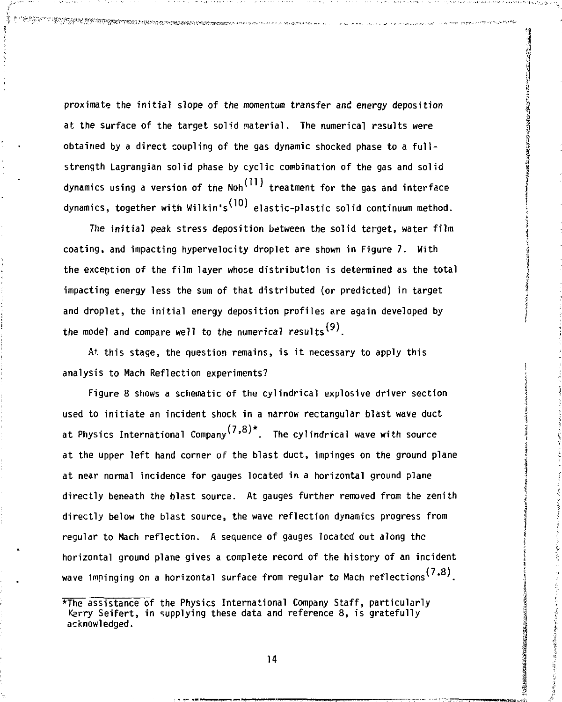**proximate the initial slope of the momentum transfer and energy deposition at the surface of the target solid material. The numerical rasults were obtained by a direct coupling of the gas dynamic shocked phase to a fullstrength Lagrangian solid phase by cyclic combination of the gas and solid**  dynamics using a version of the Noh<sup>(11)</sup> treatment for the gas and interface dynamics, together with Wilkin's<sup>(10)</sup> elastic-plastic solid continuum method.

.<br>Gill al 1998 al 1999 de la 1999 de la 1999 de la 1999 de la 1999 de la 1999 de la 1999 de la 1999 de la 1999 de la 1999 de la 1999 de la 1999 de la 1999 de la 1999 de la 1999 de la 1999 de la 1999 de la 1999 de la 1999

**The initial peak stress deposition between the solid target, water film coating, and impacting hypervelocity droplet are shown in Figure 7. With the exception of the film layer whose distribution is determined as the total impacting energy less the sum of that distributed (or predicted) in target and droplet, the initial energy deposition profiles are again developed by**  the model and compare well to the numerical results<sup>(9)</sup>.

**At. this stage, the question remains, is it necessary to apply this analysis to Mach Reflection experiments?** 

**Figure 8 shows a schematic of the cylindrical explosive driver section used to initiate an incident shock in a narrow rectangular blast wave duct**  at Physics International Company<sup>(7,8)\*</sup>. The cylindrical wave with source **at the upper left hand corner of the blast duct, impinges on the ground plane at near normal incidence for gauges located in a horizontal ground plane directly beneath the blast source. At gauges further removed from the zenith directly below the blast source, the wave reflection dynamics progress from regular to Mach reflection. A sequence of gauges located out along the horizontal ground plane gives a complete record of the history of an incident**  wave impinging on a horizontal surface from regular to Mach reflections<sup>(7,8)</sup>.

<sup>\*</sup>The assistance of the Physics International Company Staff, particularly **Kerry Seifert, in supplying these data and reference 8, is gratefully acknowledged.**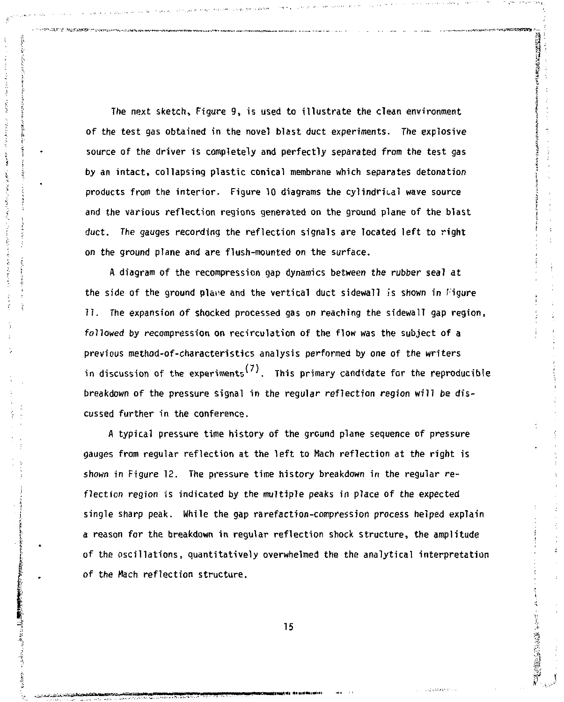The next sketch, Figure 9, is used to illustrate the clean environment of the test gas obtained in the novel blast duct experiments. The explosive source of the driver is completely and perfectly separated from the test gas by an intact, collapsing plastic conical membrane which separates detonation products from the interior. Figure 10 diagrams the cylindrical wave source and the various reflection regions generated on the ground plane of the blast duct. The gauges recording the reflection signals are located left to right on the ground plane and are flush-mounted *on* the surface.

 $\label{eq:1} \frac{1}{2} \int_{\mathbb{R}^2} \frac{1}{\sqrt{2}} \, \mathrm{d} \theta \, \mathrm{d} \theta \, \mathrm{d} \theta \, \mathrm{d} \theta \, \mathrm{d} \theta \, \mathrm{d} \theta \, \mathrm{d} \theta \, \mathrm{d} \theta \, \mathrm{d} \theta \, \mathrm{d} \theta \, \mathrm{d} \theta \, \mathrm{d} \theta \, \mathrm{d} \theta \, \mathrm{d} \theta \, \mathrm{d} \theta \, \mathrm{d} \theta \, \mathrm{d} \theta \, \mathrm{d} \theta \, \mathrm{d} \theta \, \mathrm{d} \theta \, \mathrm$ 

あまま ()

**SECTION AND ARTS** 

A diagram of the recompression gap dynamics between the rubber seal at the side of the ground plane and the vertical duct sidewall is shown in Figure 11. The expansion of shocked processed gas on reaching the sidewall gap region, followed by recompression on recirculation of the flow was the subject of a previous method-of-characteristics analysis performed by one of the writers in discussion of the experiments<sup>(7)</sup>. This primary candidate for the reproducible breakdown of the pressure signal in the regular reflection region will be discussed further in the conference.

A typical pressure time history of the ground plane sequence of pressure gauges from regular reflection at the left to Kach reflection at the right is shown in Figure 12. The pressure time history breakdown in the regular reflection region is indicated by the multiple peaks in place of the expected single sharp peak. While the gap rarefaction-compression process helped explain a reason for the breakdown in regular reflection shock structure, the amplitude of the oscillations, quantitatively overwhelmed the the analytical interpretation of the Mach reflection structure.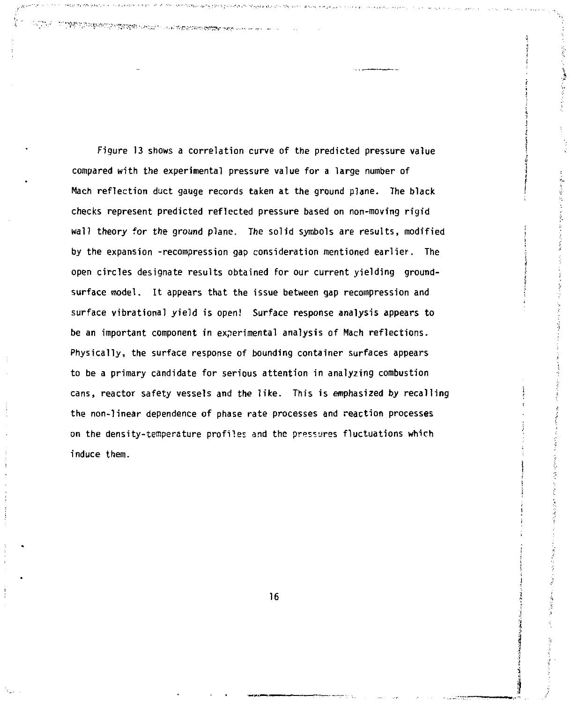Figure 13 shows a correlation curve of the predicted pressure value compared with the experimental pressure value for a large number of Hach reflection duct gauge records taken at the ground plane. The black checks represent predicted reflected pressure based on non-moving rigid wall theory for the ground plane. The solid symbols are results, modified by the expansion -recompression gap consideration mentioned earlier. The open circles designate results obtained for our current yielding groundsurface model. It appears that the issue between gap recompression and surface vibrational yield is open! Surface response analysis appears to be an important component in experimental analysis of Mach reflections. Physically, the surface response of bounding container surfaces appears to be a primary candidate for serious attention in analyzing combustion cans, reactor safety vessels and the like. This is emphasized by recalling the non-linear dependence of phase rate processes and reaction processes on the density-temperature profiles and the pressures fluctuations which induce them.

بوست والمتدوعة والأواودي ومعاوي المحافظة

**TARE OF PRESERVATION OF THE SECOND CONTRACT PROPERTY AND SECOND CONTRACT OF A SECOND CONTRACT OF A SECOND CONTRACT OF A SECOND CONTRACT OF A SECOND CONTRACT OF A SECOND CONTRACT OF A SECOND CONTRACT OF A SECOND CONTRACT O**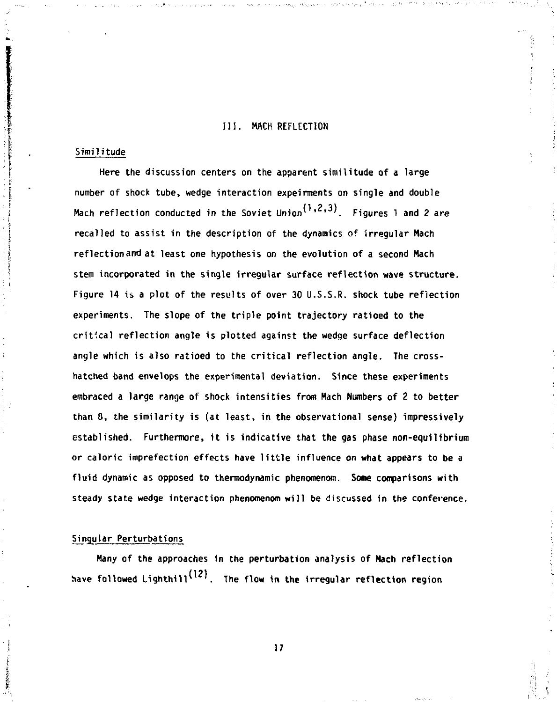#### **III. MACH REFLECTION**

#### **Similitude**

**Here the discussion centers on the apparent similitude of a large number of shock tube, wedge interaction expeirments on single and double (1** *?* **31 Hach reflection conducted in the Soviet Union1 "•'•''. Figures 1 and 2** *are*  **recalled to assist in the description of the dynamics of irregular Mach reflection am) at least one hypothesis on the evolution of a second Mach stem incorporated in the single irregular surface reflection wave structure. Figure 14 is a plot of the results of over 30 U.S.S.R. shock tube reflection experiments. The slope of the triple point trajectory ratioed to the critical reflection angle is plotted against the wedge surface deflection angle which is also ratioed to the critical reflection angle. The crosshatched band envelops the experimental deviation. Since these experiments embraced a large range of shock intensities from Hach Numbers of 2 to better than 8, the similarity is (at least, in the observational sense) impressively established. Furthermore, it is indicative that the gas phase non-equilibrium or caloric imprefection effects have little influence on what appears to be a fluid dynamic as opposed to thermodynamic phenomenon. Some comparisons with**  steady state wedge interaction phenomenom will be discussed in the conference.

### **Singular Perturbations**

**Many of the approaches in the perturbation analysis of Hach reflection**  have followed Lighthill<sup>(12)</sup>. The flow in the irregular reflection region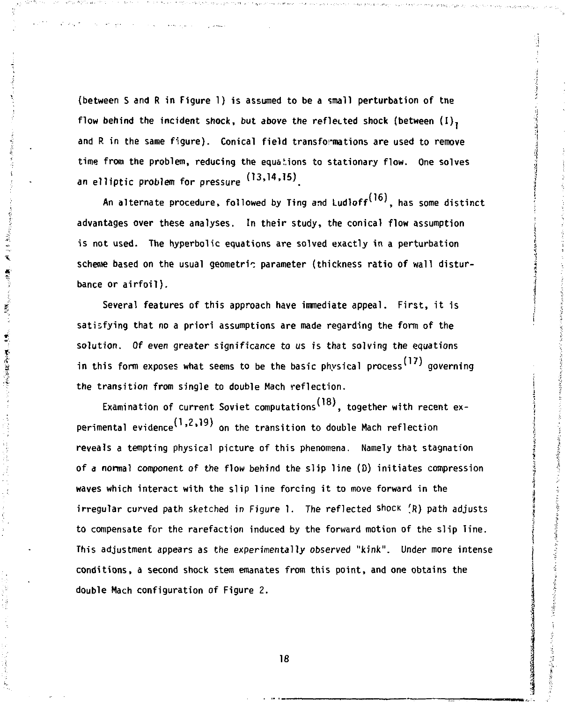**(between S and R in Figure 1) is assumed to be a small perturbation of tne flow behind the incident shock, but above the reflected shock (between (I), and R in the same figure). Conical field transformations are used to remove**  time from the problem, reducing the equations to stationary flow. One solves **an elliptic problem for pressure (,3 >'''>' <sup>5</sup> ) .** 

An alternate procedure, followed by Ting and Ludloff<sup>(16)</sup>, has some distinct **advantages over these analyses. In their study, the conical flow assumption is not used. The hyperbolic equations are solved exactly in a perturbation**  scheme based on the usual geometric parameter (thickness ratio of wall distur**bance or airfoil).** 

えゃっち

 $\mathcal{L} \in \mathcal{M}_{\mathcal{G}}$ 

**「無可」 歌客 就是学生。** 

**Several features of this approach have immediate appeal. First, it is satisfying that no a priori assumptions are made regarding the form of the solution. Of even greater significance to us is that solving the equations**  in this form exposes what seems to be the basic physical process<sup>(17)</sup> governing **the transition from single to double Mach reflection.** 

**(18) Examination of current Soviet computations<sup>1</sup> , together with recent ex- (1 2 19) perimental evidence<sup>1</sup> ' ' on the transition to double Mach reflection reveals a tempting physical picture of this phenomena. Namely that stagnation of a normal component of the flow behind the slip line (D) initiates compression waves which interact with the slip line forcing it to move forward in the irregular curved path sketched in Figure 1. The reflected shock (R) path adjusts to compensate for the rarefaction induced by the forward motion of the slip line. This adjustment appears as the experimentally observed "kink". Under more intense conditions, a second shock stem emanates from this point, and one obtains the double Mach configuration of Figure 2.**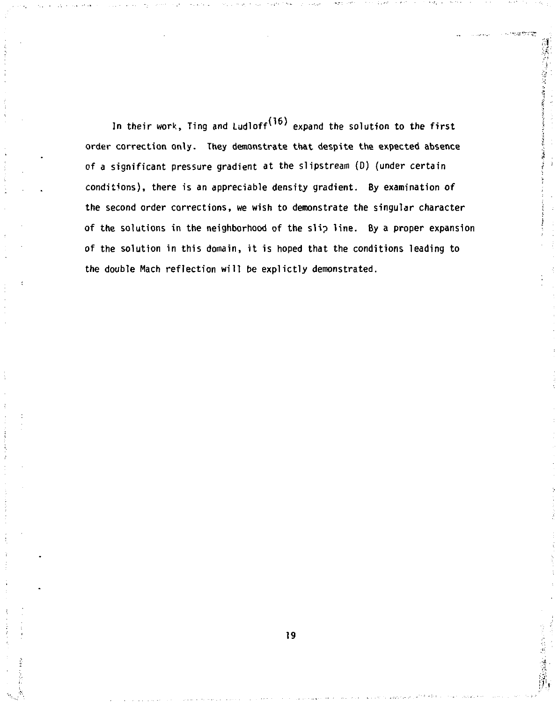**In their work, Ting and Ludloff<sup>1</sup> ' expand the solution to the first order correction only. They demonstrate that despite the expected absence of a significant pressure gradient at the slipstream (0) (under certain conditions), there is an appreciable density gradient. By examination of the second order corrections, we wish to demonstrate the singular character of the solutions in the neighborhood of the slip line. By a proper expansion of the solution in this domain, it is hoped that the conditions leading to the double Mach reflection will be explictly demonstrated.**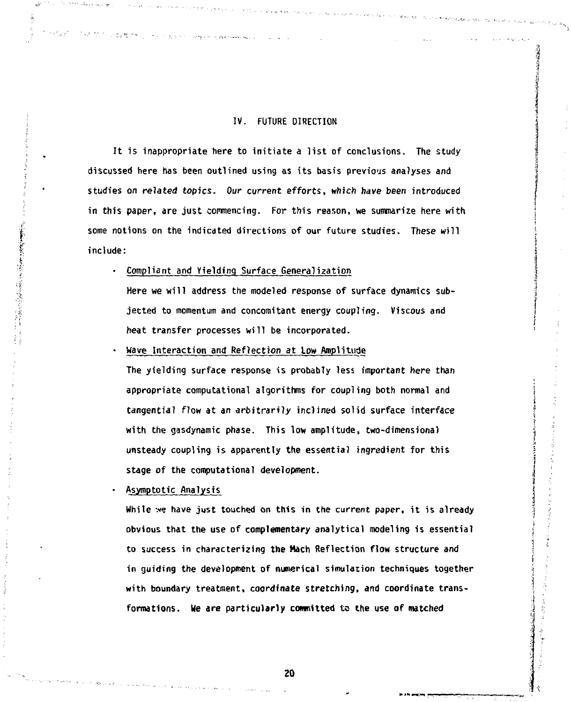# **IV. FUTURE DIRECTION**

**It is inappropriate here to initiate a list of conclusions. The study discussed here has been outlined using as its basis previous analyses and studies on related topics. Our current efforts, which have been introduced in this paper, are just commencing. For this reason, we summarize here with some notions on the indicated directions of our future studies. These will include:** 

## **• Compliant and Yielding Surface General^ation**

**The Simple Street and Construction Constitution** 

**Here we will address the modeled response of surface dynamics subjected to momentum and concomitant energy coupling. Viscous and heat transfer processes will be incorporated.** 

**" Wave Interaction and Reflection at low Amplitude** 

**The yielding surface response is probably less important here than appropriate computational algorithms for coupling both normal and tangential flow at an arbitrarily inclined solid surface interface with the gasdynamic phase. This low amplitude, two-dimensional unsteady coupling is apparently the essential ingredient for this stage of the computational development.** 

**\* Asymptotic Analysis** 

「実生の事実の実施」を「このことをする」ということをしている。

**While we have just touched on this in the current paper, it is already obvious that the use of complementary analytical modeling is essential to success in characterizing the Hach Reflection flow structure and in guiding the development of numerical simulation techniques together with boundary treatment, coordinate stretching, and coordinate transformations. Me are particularly committed to the use of matched**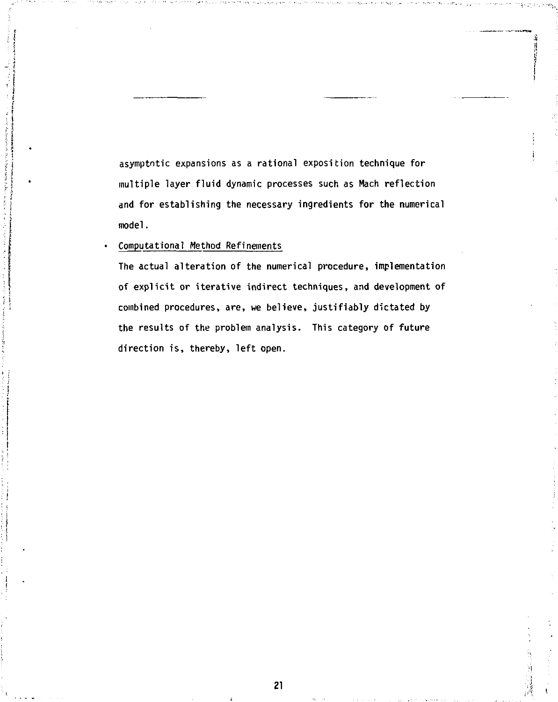**asymptntic expansions as a rational exposition technique for multiple layer fluid dynamic processes such as Mach reflection and for establishing the necessary ingredients for the numerical model.** 

# **Computational Method Refinements**

**The actual alteration of the numerical procedure, implementation of explicit or iterative indirect techniques, and development of combined procedures, are, we believe, justifiably dictated by the results of the problem analysis. This category of future direction is, thereby, left open.**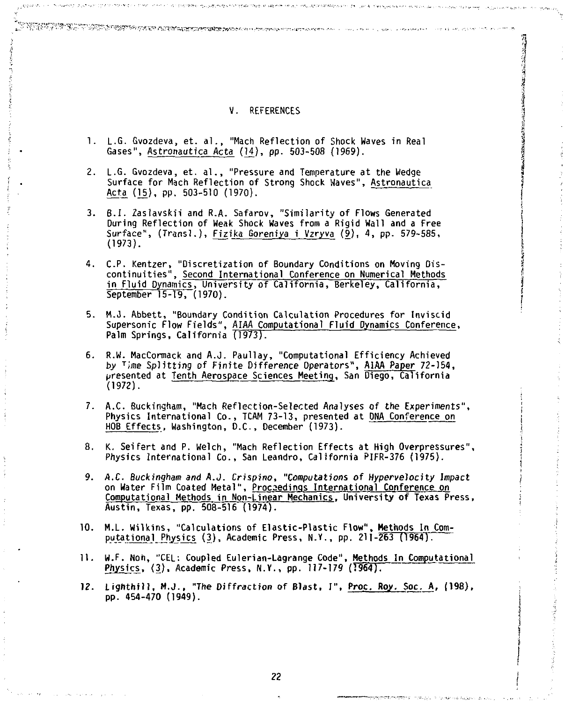# **v. REFERENCES g**

**ij** 

**|** 

i

**1. L.G. Gvozdeva, et. al., "Mach Reflection of Shock Waves in Real** *\*  Gases", Astronautica Acta (14), pp. 503-508 (1969).

A SAN DE ANGELIA NG PANGANG ANG ANGERAPAN SANGGANG ANG PANGHANG ANG PANGANG AT AT ANG ANG ANG ANG ANG ANG ANG

- L. Evaluation, et. al., "Pressure and Temperature at the Wedge 5 **burface for Mach Reflection of Strong Shock Waves"**, Astronautica<sup>2</sup> Acta (15), pp. 503-510 (1970).
- **3. B.I. Zaslavskii and R.A. Safarov, "Similarity of Flows Generated During Reflection of Weak Shock Waves from a Rigid Wall and a Free During Reflection of Weak Shock Waves from a Rigid Wall and a Free just and a Free in the surface", (Transl.), Fizika Goreniya i Vzryva (9), 4, pp. 579-585, (1973). |**
- **4. C.P. Kentzer, "Discretization of Boundary Conditions on Moving Dis-** *i*  **continuities", Second International Conference on Numerical Methods jin Fluid Dynamics, University of California, Berkeley, California, 3**  September 15-19, (1970).
- **5. M.J. Abbett, "Boundary Condition Calculation Procedures for Inviscid Supersonic Flow Fields", AIAA Computational Fluid Dynamics Conference, Palm Springs, California (1973).**
- **6. R.W. MacCormack and A.J. Paul lay, "Computational Efficiency Achieved by <sup>T</sup> ime Splitting of Finite Difference Operators", AIAA Paper 72-154, presented at Tenth Aerospace Sciences Meeting, San Diego, California (1972).**
- **7. A.C. Buckingham, "Mach Reflection-Selected Analyses of the Experiments", Physics International Co., TCAM 73-13, presented at DNA Conference on HOB Effects, Washington, D.C., December (1973).**
- **8. K. Seifert and P. Welch, "Mach Reflection Effects at High Overpressures", Physics International Co., San Leandro, California PIFR-376 (1975).**
- **9. A.C. Buckingham and A.J. Crispino, "Computations of Hypervelocity Impact on Water Film Coated Metal", Proceedings International Conference on Computational Methods in Non-Linear Mechanics. University of Texas Press, Austin, Texas, pp. 508-516 (1974).**
- **10. M.L. Wilkins, "Calculations of Elastic-Plastic Flow", Methods In Com**putational Physics (3), Academic Press, N.Y., pp. 211-263 (1964).
- **11. W.F. Noh, "CEL: Coupled Eulerian-Lagrange Code", Methods In Computational Physics, (3), Academic Press, N.Y., pp. 117-179 (1964).**
- **12. Lighthill, M.J., "The Diffraction of Blast, I", Proc. Roy. Soc. A, (198), pp. 454-470 (1949).**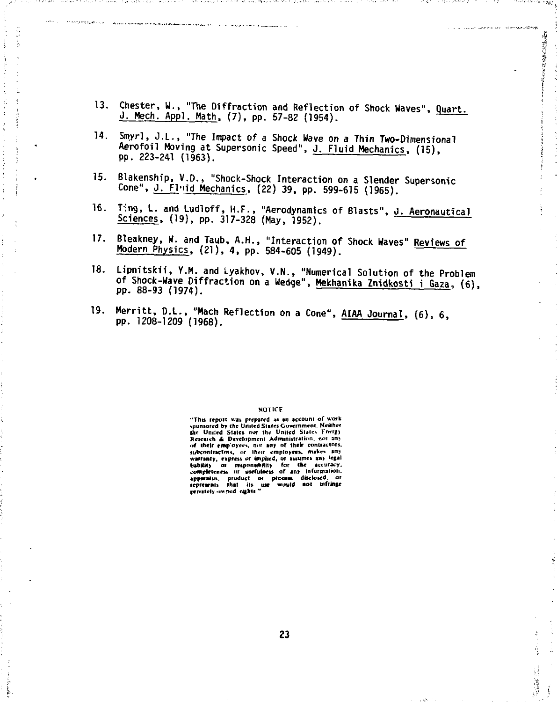**13. Chester, W., "The Diffraction and Reflection of Shock Waves", Quart. J. Mech. Appl. Hath, (7), pp. 57-82 (1954).** 

a la consumidad de la consumación

● 「大学のある」

 $\frac{1}{2}$  and  $\frac{1}{2}$ 

وأورادهم والوجون والأجار أراميح متفجومتين وكمصطرف وويجيع لأخلاجهم

- **14. Sroyrl, J.L., "The Impact of a Shock Wave on a Thin Two-Dimensional Aerofoil Moving at Supersonic Speed", J. Fluid Mechanics, (15), pp. 223-241 (1963).**
- **15. Blakenship, V.D., "Shock-Shock Interaction on a Slender Supersonic**  Cone", J. Flwid Mechanics, (22) 39, pp. 599-615 (1965).
- **16. T-ng, L. and Ludloff, H.F., "Aerodynamics of Blasts", J. Aeronautical Sciences, (19), pp. 317-328 (May, 1952).**
- **17. Bleakney, W. and Taub, A.H., "Interaction of Shock Waves" Reviews of Modern Physics, (21), 4, pp. 584-605 (1949).**
- **18. Lipm'tskii, Y.M. and Lyakhov, V.N., "Numerical Solution of the Problem of Shock-Wave Diffraction on a Wedge", Mekhanika Znidkosti i Gaza, (6), pp. 88-93 (1974).**
- **19. Merritt, D.L., "Mach Reflection on a Cone", AIAA Journal, (6), 6, pp. 1208-1209 (1968).**

#### NOTICE

**"Tim repot! Kit prepared as in account or work sponsored by fhc United States Government. Neither the Untied Stale, nor the United Slates FnerB) Rrscaich & Development Administration, not an> of Ihelr emp'oycet. not any of their contractor\*, subcontractors, or Ihrir employees, makes an)**  wattsnity, express or implied, or assumes any legal<br>lability or responsibility for the accuracy,<br>applitatus, product or process of any information,<br>applitatus, product or process disclosed, or<br>responsive that its use would privately-owned rights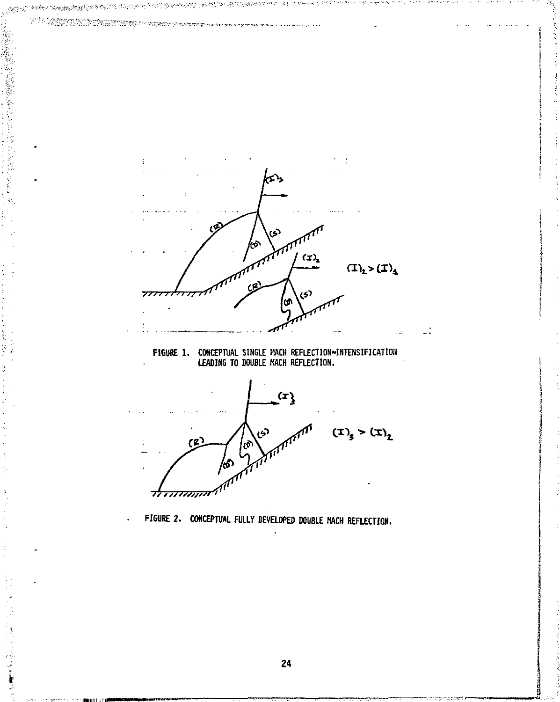经总额增值法的结合 2012/06/08 2 **Contractor** ĝ. أتهم ۰,  $(T)$  $(\mathbf{T})_{\mathbf{1}} > (\mathbf{T})_{\mathbf{1}}$ ⇁ ИÌ **FIGURE 1. CONCEPTUAL SINGLE RACH REFLECTION-INTENSIFICATION LEADING TO DOUBLE HACH REFLECTION.**   $\mathbf{r}$ ري<br>حو  $(\pm)$ <sub>3</sub> >  $(\pm)$ <sub>2</sub>  $(2)$ |ക് kб *"7777777777?"'*  **FI6URE 2. CONCEPTUAL FULLY DEVELOPED DOUBLE HACK REFLECTION.** 

**24** 

Ź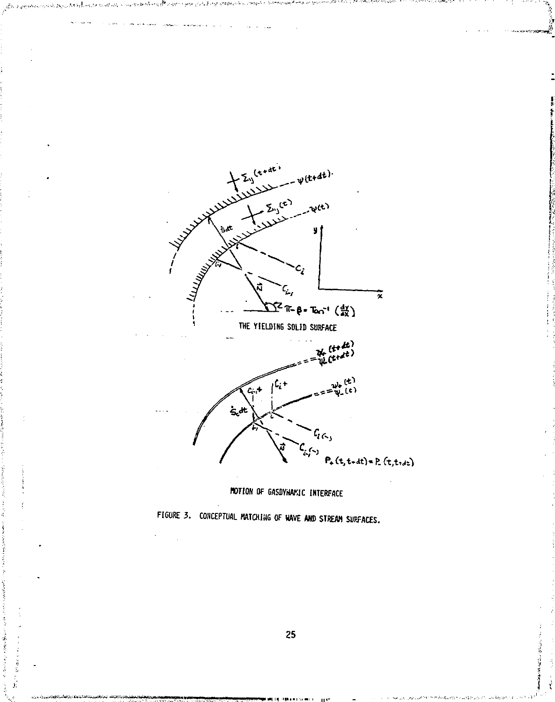





J,

**Contractor** į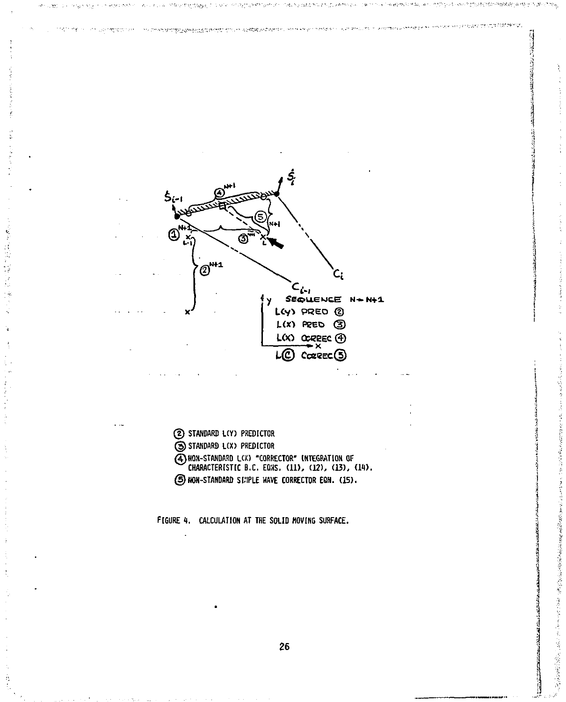www.communications.com/2010/html **State** .<br>אנגלים אין אַסְסְפּוֹר אַ איז אַ איז אַ דורך אין אין אוייני און אין אין אין אין דער אין אויינע און אין אויינע א inerie k



2 STANDARD L(Y) PREDICTOR S STANDARD L(X) PREDICTOR 4) HON-STANDARD L(X) "CORRECTOR" INTEGRATION OF CHARACTERISTIC B.C. EQNS. (11), (12), (13), (14). 5 NON-STANDARD SIMPLE WAVE CORRECTOR EQN. (15).

FIGURE 4. CALCULATION AT THE SOLID MOVING SURFACE.

中美的的 地名美国布拉尔 的复数医布拉克

「まいま、「あのはままま、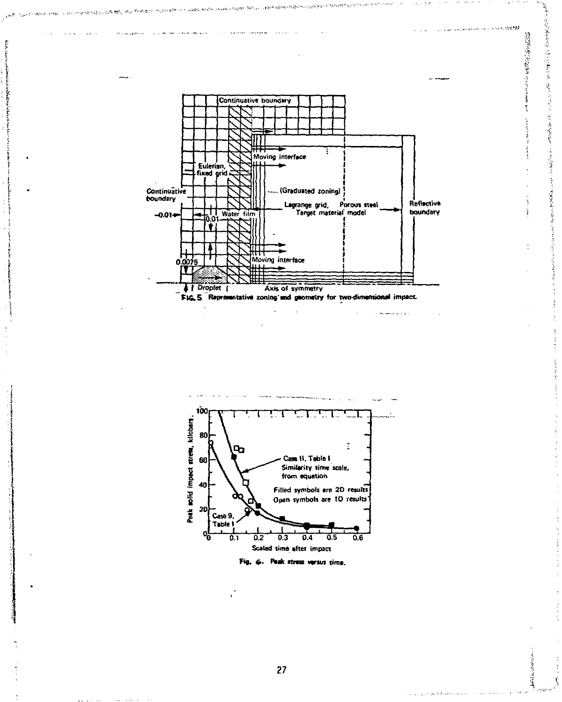

医包装复原 医阿雷罗氏反应治疗

 $\label{eq:4} \mathcal{L}^{\frac{1}{2}}\mathcal{L}^{\frac{1}{2}}\mathcal{L}^{\frac{1}{2}}\mathcal{L}^{\frac{1}{2}}\mathcal{L}^{\frac{1}{2}}\mathcal{L}^{\frac{1}{2}}\mathcal{L}^{\frac{1}{2}}\mathcal{L}^{\frac{1}{2}}\mathcal{L}^{\frac{1}{2}}\mathcal{L}^{\frac{1}{2}}\mathcal{L}^{\frac{1}{2}}\mathcal{L}^{\frac{1}{2}}\mathcal{L}^{\frac{1}{2}}\mathcal{L}^{\frac{1}{2}}\mathcal{L}^{\frac{1}{2}}\mathcal$ 

 $\label{eq:3.1} \log \rho_{\rm eff} = \rho_{\rm eff} \rho_{\rm eff}$ 

Î.

医细胞

I

建造法 ť

**その時の時間の** 

**Commercial Services (Service PRE** 

بالانباكا فالتفاعل ويتوسيون

 $\alpha$  where  $\alpha$  stations



£, G. Peak stress versus time.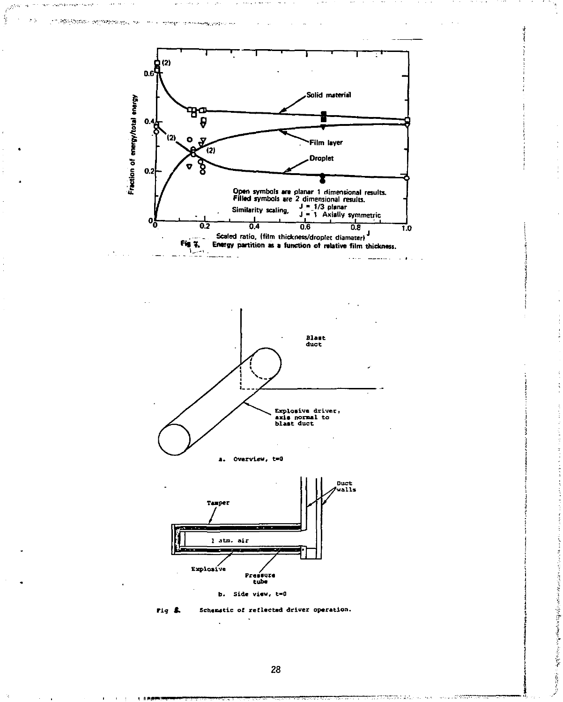







The method of the company continuous company of the company of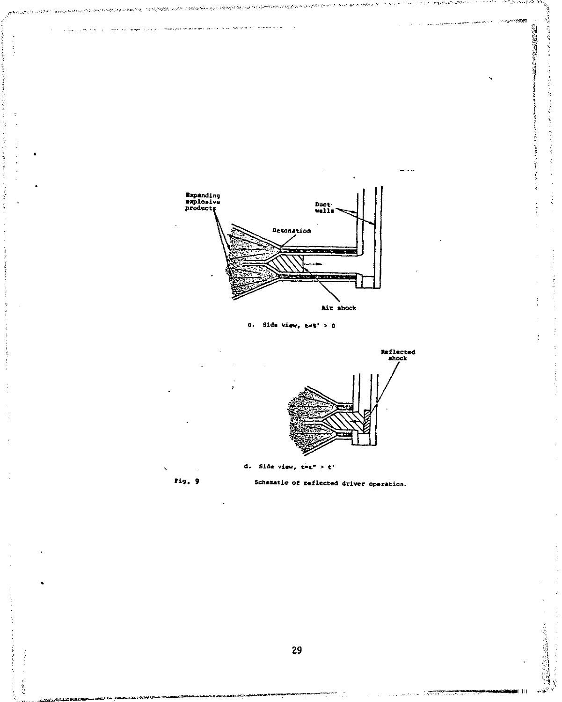

29

 $\frac{1}{2}$ 

 $\hat{V}$ 

u.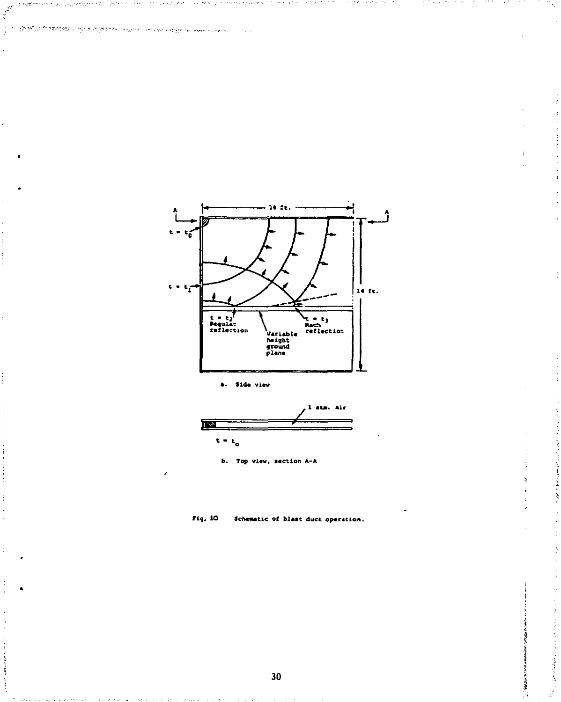



and all and a substitute of the control substance was control.

100805130



ĩ, ţ,

医内皮病毒 医阿拉伯氏囊肿 医外

**b. Top view, section A-A** 

**Fig. 10 Schematic of blast duet operation.**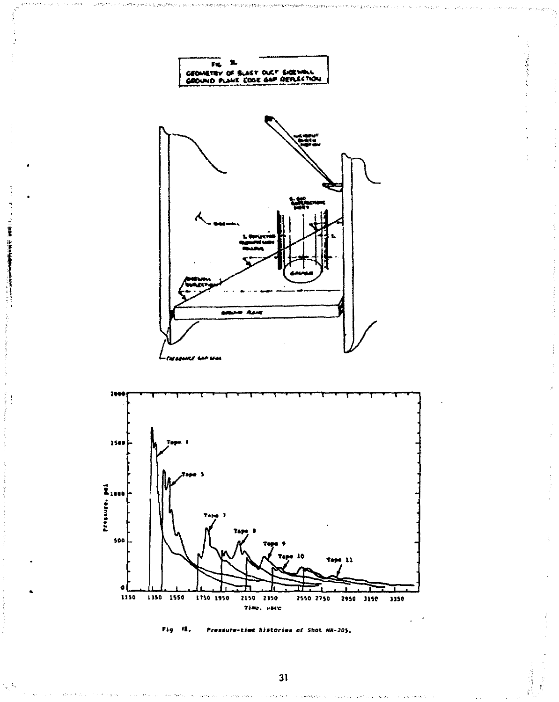



 $\frac{1}{2} \sum_{i=1}^n \frac{1}{i} \lambda_i$ 

 $31$